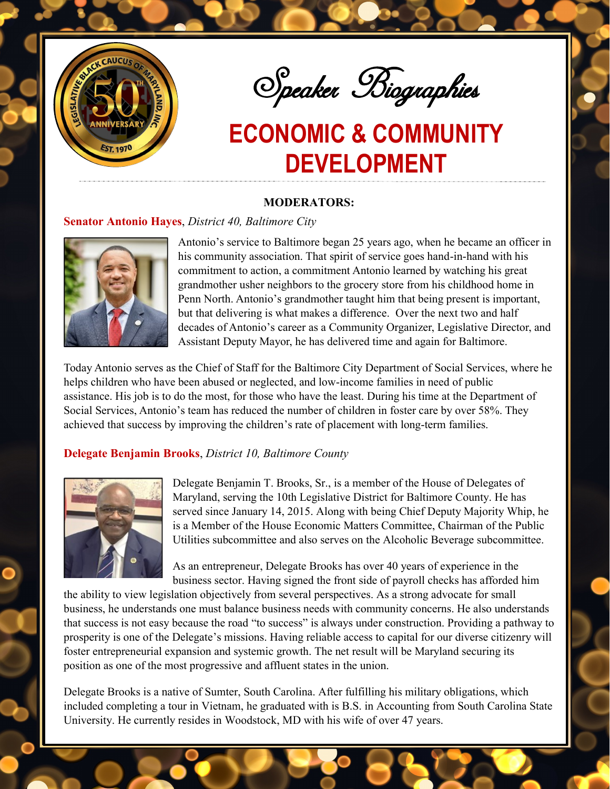

Speaker Biographies

#### **MODERATORS:**

#### **Senator Antonio Hayes**, *District 40, Baltimore City*



Antonio's service to Baltimore began 25 years ago, when he became an officer in his community association. That spirit of service goes hand-in-hand with his commitment to action, a commitment Antonio learned by watching his great grandmother usher neighbors to the grocery store from his childhood home in Penn North. Antonio's grandmother taught him that being present is important, but that delivering is what makes a difference. Over the next two and half decades of Antonio's career as a Community Organizer, Legislative Director, and Assistant Deputy Mayor, he has delivered time and again for Baltimore.

Today Antonio serves as the Chief of Staff for the Baltimore City Department of Social Services, where he helps children who have been abused or neglected, and low-income families in need of public assistance. His job is to do the most, for those who have the least. During his time at the Department of Social Services, Antonio's team has reduced the number of children in foster care by over 58%. They achieved that success by improving the children's rate of placement with long-term families.

### **Delegate Benjamin Brooks**, *District 10, Baltimore County*



Delegate Benjamin T. Brooks, Sr., is a member of the House of Delegates of Maryland, serving the 10th Legislative District for Baltimore County. He has served since January 14, 2015. Along with being Chief Deputy Majority Whip, he is a Member of the House Economic Matters Committee, Chairman of the Public Utilities subcommittee and also serves on the Alcoholic Beverage subcommittee.

As an entrepreneur, Delegate Brooks has over 40 years of experience in the business sector. Having signed the front side of payroll checks has afforded him

the ability to view legislation objectively from several perspectives. As a strong advocate for small business, he understands one must balance business needs with community concerns. He also understands that success is not easy because the road "to success" is always under construction. Providing a pathway to prosperity is one of the Delegate's missions. Having reliable access to capital for our diverse citizenry will foster entrepreneurial expansion and systemic growth. The net result will be Maryland securing its position as one of the most progressive and affluent states in the union.

Delegate Brooks is a native of Sumter, South Carolina. After fulfilling his military obligations, which included completing a tour in Vietnam, he graduated with is B.S. in Accounting from South Carolina State University. He currently resides in Woodstock, MD with his wife of over 47 years.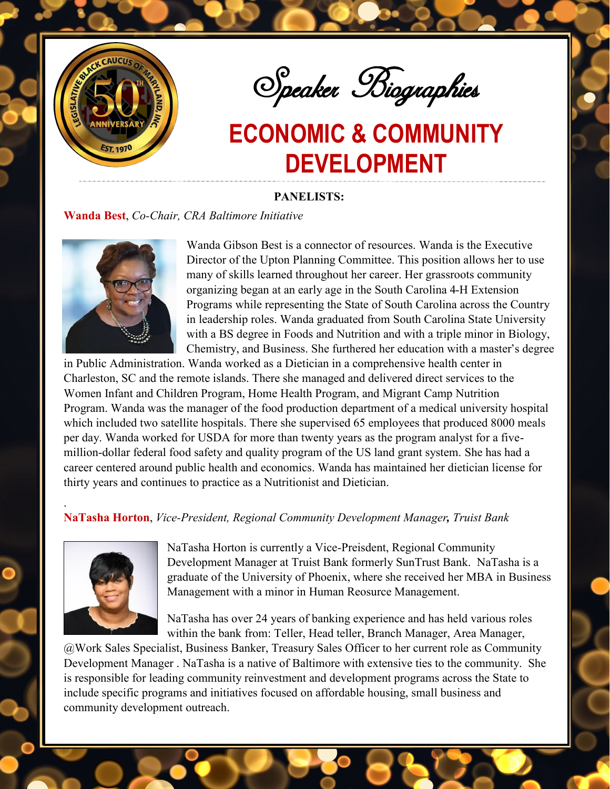

Speaker Biographies

### **PANELISTS:**

### **Wanda Best**, *Co-Chair, CRA Baltimore Initiative*



Wanda Gibson Best is a connector of resources. Wanda is the Executive Director of the Upton Planning Committee. This position allows her to use many of skills learned throughout her career. Her grassroots community organizing began at an early age in the South Carolina 4-H Extension Programs while representing the State of South Carolina across the Country in leadership roles. Wanda graduated from South Carolina State University with a BS degree in Foods and Nutrition and with a triple minor in Biology, Chemistry, and Business. She furthered her education with a master's degree

in Public Administration. Wanda worked as a Dietician in a comprehensive health center in Charleston, SC and the remote islands. There she managed and delivered direct services to the Women Infant and Children Program, Home Health Program, and Migrant Camp Nutrition Program. Wanda was the manager of the food production department of a medical university hospital which included two satellite hospitals. There she supervised 65 employees that produced 8000 meals per day. Wanda worked for USDA for more than twenty years as the program analyst for a fivemillion-dollar federal food safety and quality program of the US land grant system. She has had a career centered around public health and economics. Wanda has maintained her dietician license for thirty years and continues to practice as a Nutritionist and Dietician.

## **NaTasha Horton**, *Vice-President, Regional Community Development Manager, Truist Bank*



.

NaTasha Horton is currently a Vice-Preisdent, Regional Community Development Manager at Truist Bank formerly SunTrust Bank. NaTasha is a graduate of the University of Phoenix, where she received her MBA in Business Management with a minor in Human Reosurce Management.

NaTasha has over 24 years of banking experience and has held various roles within the bank from: Teller, Head teller, Branch Manager, Area Manager,

@Work Sales Specialist, Business Banker, Treasury Sales Officer to her current role as Community Development Manager . NaTasha is a native of Baltimore with extensive ties to the community. She is responsible for leading community reinvestment and development programs across the State to include specific programs and initiatives focused on affordable housing, small business and community development outreach.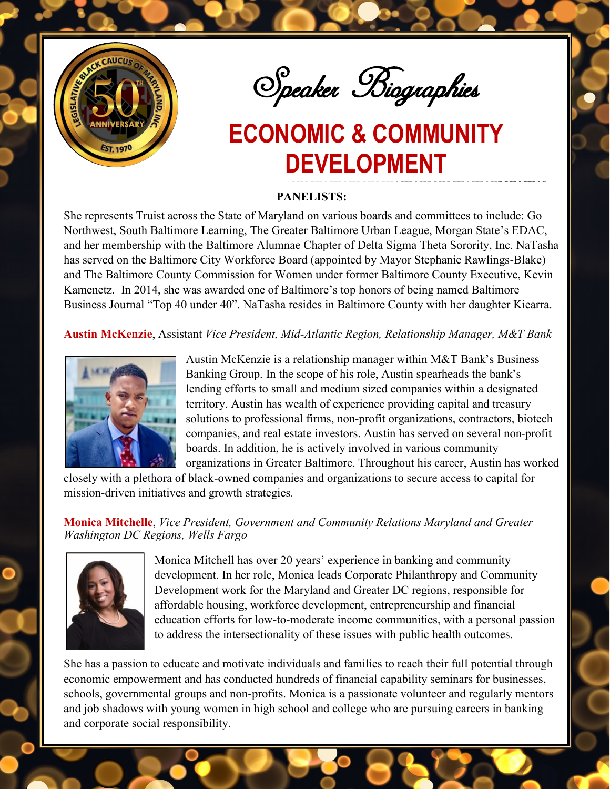

Speaker Biographies

## **PANELISTS:**

She represents Truist across the State of Maryland on various boards and committees to include: Go Northwest, South Baltimore Learning, The Greater Baltimore Urban League, Morgan State's EDAC, and her membership with the Baltimore Alumnae Chapter of Delta Sigma Theta Sorority, Inc. NaTasha has served on the Baltimore City Workforce Board (appointed by Mayor Stephanie Rawlings-Blake) and The Baltimore County Commission for Women under former Baltimore County Executive, Kevin Kamenetz. In 2014, she was awarded one of Baltimore's top honors of being named Baltimore Business Journal "Top 40 under 40". NaTasha resides in Baltimore County with her daughter Kiearra.

**Austin McKenzie**, Assistant *Vice President, Mid-Atlantic Region, Relationship Manager, M&T Bank* 



Austin McKenzie is a relationship manager within M&T Bank's Business Banking Group. In the scope of his role, Austin spearheads the bank's lending efforts to small and medium sized companies within a designated territory. Austin has wealth of experience providing capital and treasury solutions to professional firms, non-profit organizations, contractors, biotech companies, and real estate investors. Austin has served on several non-profit boards. In addition, he is actively involved in various community organizations in Greater Baltimore. Throughout his career, Austin has worked

closely with a plethora of black-owned companies and organizations to secure access to capital for mission-driven initiatives and growth strategies.

### **Monica Mitchelle**, *Vice President, Government and Community Relations Maryland and Greater Washington DC Regions, Wells Fargo*



Monica Mitchell has over 20 years' experience in banking and community development. In her role, Monica leads Corporate Philanthropy and Community Development work for the Maryland and Greater DC regions, responsible for affordable housing, workforce development, entrepreneurship and financial education efforts for low-to-moderate income communities, with a personal passion to address the intersectionality of these issues with public health outcomes.

She has a passion to educate and motivate individuals and families to reach their full potential through economic empowerment and has conducted hundreds of financial capability seminars for businesses, schools, governmental groups and non-profits. Monica is a passionate volunteer and regularly mentors and job shadows with young women in high school and college who are pursuing careers in banking and corporate social responsibility.